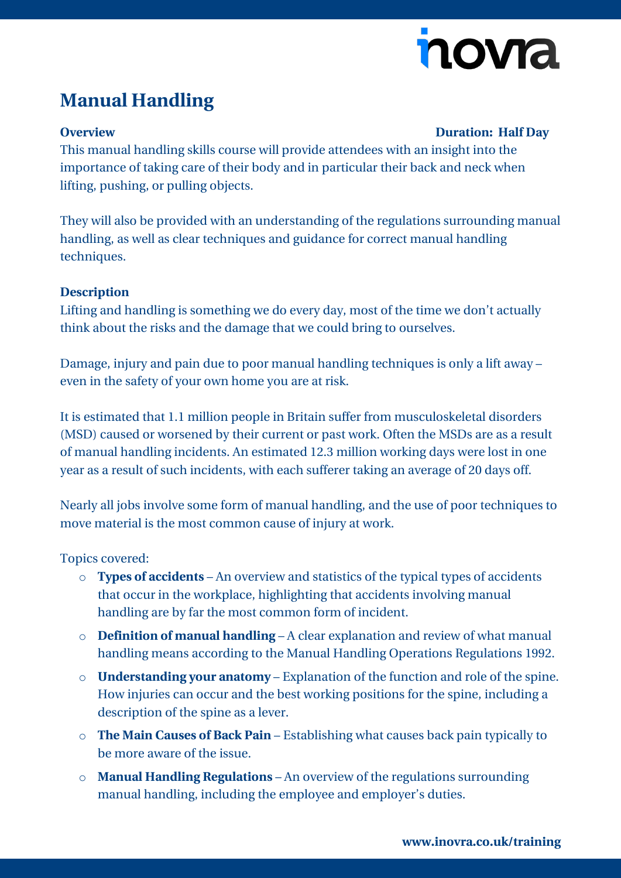

# **Manual Handling**

## **Overview Duration: Half Day**

This manual handling skills course will provide attendees with an insight into the importance of taking care of their body and in particular their back and neck when lifting, pushing, or pulling objects.

They will also be provided with an understanding of the regulations surrounding manual handling, as well as clear techniques and guidance for correct manual handling techniques.

## **Description**

Lifting and handling is something we do every day, most of the time we don't actually think about the risks and the damage that we could bring to ourselves.

Damage, injury and pain due to poor manual handling techniques is only a lift away – even in the safety of your own home you are at risk.

It is estimated that 1.1 million people in Britain suffer from musculoskeletal disorders (MSD) caused or worsened by their current or past work. Often the MSDs are as a result of manual handling incidents. An estimated 12.3 million working days were lost in one year as a result of such incidents, with each sufferer taking an average of 20 days off.

Nearly all jobs involve some form of manual handling, and the use of poor techniques to move material is the most common cause of injury at work.

Topics covered:

- o **Types of accidents** An overview and statistics of the typical types of accidents that occur in the workplace, highlighting that accidents involving manual handling are by far the most common form of incident.
- o **Definition of manual handling** A clear explanation and review of what manual handling means according to the Manual Handling Operations Regulations 1992.
- o **Understanding your anatomy** Explanation of the function and role of the spine. How injuries can occur and the best working positions for the spine, including a description of the spine as a lever.
- o **The Main Causes of Back Pain** Establishing what causes back pain typically to be more aware of the issue.
- o **Manual Handling Regulations** An overview of the regulations surrounding manual handling, including the employee and employer's duties.